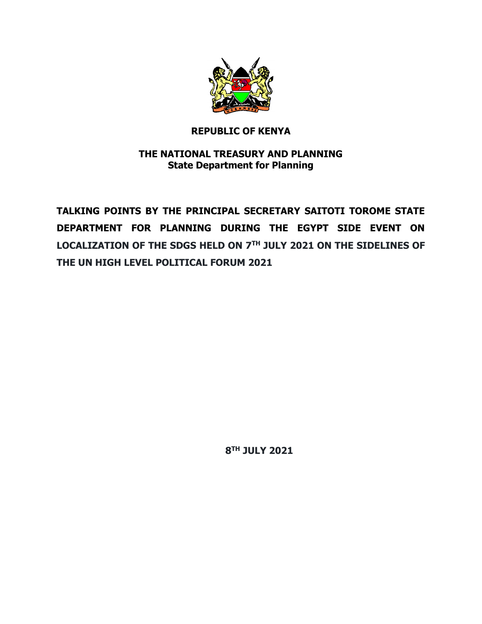

## **REPUBLIC OF KENYA**

# **THE NATIONAL TREASURY AND PLANNING State Department for Planning**

**TALKING POINTS BY THE PRINCIPAL SECRETARY SAITOTI TOROME STATE DEPARTMENT FOR PLANNING DURING THE EGYPT SIDE EVENT ON LOCALIZATION OF THE SDGS HELD ON 7TH JULY 2021 ON THE SIDELINES OF THE UN HIGH LEVEL POLITICAL FORUM 2021**

 **8 TH JULY 2021**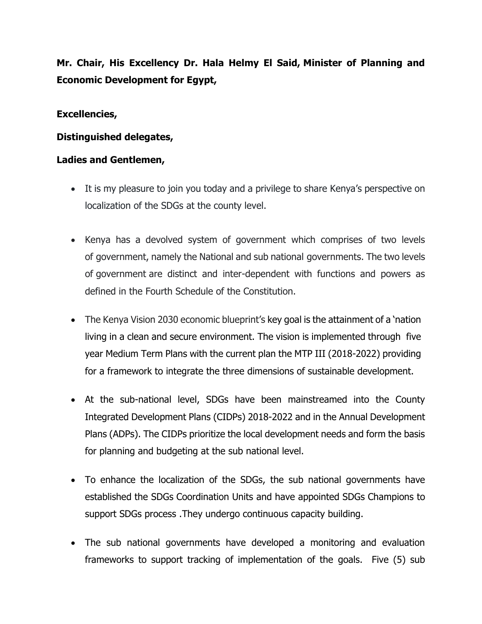**Mr. Chair, His Excellency Dr. Hala Helmy El Said, Minister of Planning and Economic Development for Egypt,**

### **Excellencies,**

## **Distinguished delegates,**

## **Ladies and Gentlemen,**

- It is my pleasure to join you today and a privilege to share Kenya's perspective on localization of the SDGs at the county level.
- Kenya has a devolved system of government which comprises of two levels of government, namely the National and sub national governments. The two levels of government are distinct and inter-dependent with functions and powers as defined in the Fourth Schedule of the Constitution.
- The Kenya Vision 2030 economic blueprint's key goal is the attainment of a 'nation living in a clean and secure environment. The vision is implemented through five year Medium Term Plans with the current plan the MTP III (2018-2022) providing for a framework to integrate the three dimensions of sustainable development.
- At the sub-national level, SDGs have been mainstreamed into the County Integrated Development Plans (CIDPs) 2018-2022 and in the Annual Development Plans (ADPs). The CIDPs prioritize the local development needs and form the basis for planning and budgeting at the sub national level.
- To enhance the localization of the SDGs, the sub national governments have established the SDGs Coordination Units and have appointed SDGs Champions to support SDGs process .They undergo continuous capacity building.
- The sub national governments have developed a monitoring and evaluation frameworks to support tracking of implementation of the goals. Five (5) sub